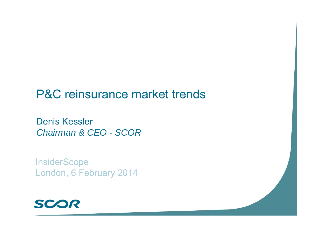# P&C reinsurance market trends

Denis Kessler *Chairman & CEO - SCOR*

**InsiderScope** London, 6 February 2014

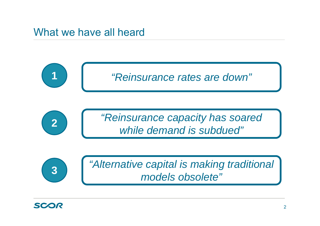## What we have all heard

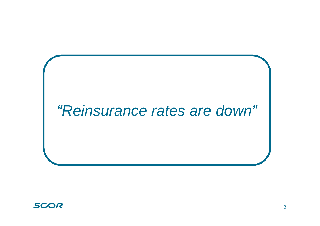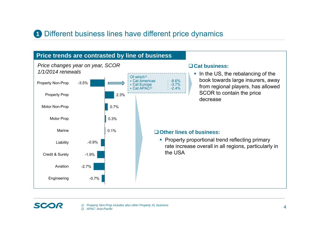### **1** Different business lines have different price dynamics



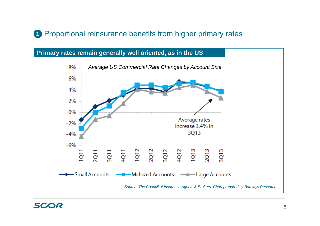### **1** Proportional reinsurance benefits from higher primary rates

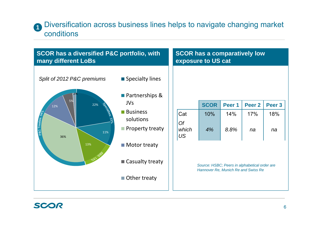### **1** Diversification across business lines helps to navigate changing market conditions

| <b>SCOR has a diversified P&amp;C portfolio, with</b>                                   | <b>SCOR has a comparatively low</b>                                                                                                                                               |                                 |                                                                                                                  |                                  |                                |                     |  |
|-----------------------------------------------------------------------------------------|-----------------------------------------------------------------------------------------------------------------------------------------------------------------------------------|---------------------------------|------------------------------------------------------------------------------------------------------------------|----------------------------------|--------------------------------|---------------------|--|
| many different LoBs                                                                     | exposure to US cat                                                                                                                                                                |                                 |                                                                                                                  |                                  |                                |                     |  |
| Split of 2012 P&C premiums<br>5%<br>22%<br>12%<br>P&C Treaties: 54<br>11%<br>36%<br>13% | ■ Specialty lines<br>■ Partnerships &<br><b>JVs</b><br><b>Business</b><br>solutions<br><b>Property treaty</b><br>$\blacksquare$ Motor treaty<br>■ Casualty treaty<br>Other treaty | Cat<br><b>Of</b><br>which<br>US | <b>SCOR</b><br>10%<br>4%<br>Source: HSBC; Peers in alphabetical order are<br>Hannover Re, Munich Re and Swiss Re | Peer <sub>1</sub><br>14%<br>8.8% | Peer <sub>2</sub><br>17%<br>na | Peer 3<br>18%<br>na |  |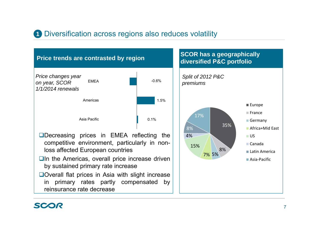### **1** Diversification across regions also reduces volatility

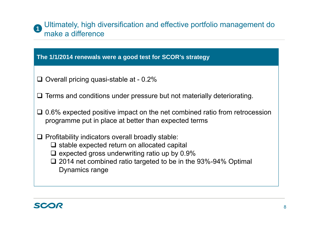#### Ultimately, high diversification and effective portfolio management do make a difference**1**

#### **The 1/1/2014 renewals were a good test for SCOR's strategy**

- $\Box$  Overall pricing quasi-stable at 0.2%
- $\square$  Terms and conditions under pressure but not materially deteriorating.
- $\Box$  0.6% expected positive impact on the net combined ratio from retrocession programme put in place at better than expected terms
- $\Box$  Profitability indicators overall broadly stable:
	- $\square$  stable expected return on allocated capital
	- $\square$  expected gross underwriting ratio up by 0.9%
	- **□ 2014 net combined ratio targeted to be in the 93%-94% Optimal** Dynamics range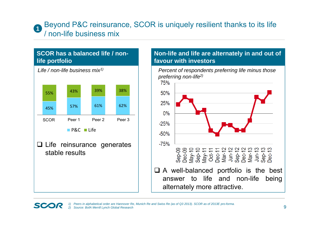#### Beyond P&C reinsurance, SCOR is uniquely resilient thanks to its life / non-life business mix**1**

## **SCOR has a balanced life / nonlife portfolio Q** Life reinsurance generates stable results*Life / non-life business mix1)* 45%% 57% 61% 62% 55%% 43% 39% 38% SCOR Peer Peer 2 Peer 3 P&C ■ Life Peer 1

#### **Non-life and life are alternately in and out of favour with investors**

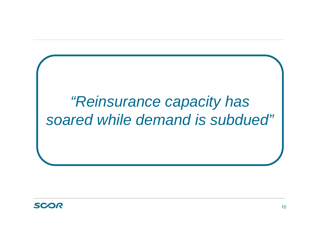

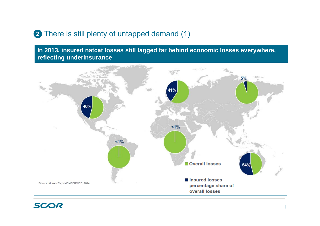## **2** There is still plenty of untapped demand (1)

**In 2013, insured natcat losses still lagged far behind economic losses everywhere, reflecting underinsurance** 

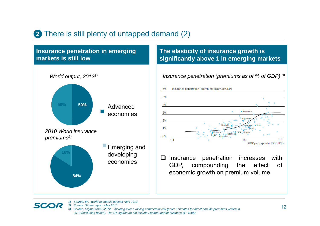### **2** There is still plenty of untapped demand (2)



#### **The elasticity of insurance growth is significantly above 1 in emerging markets**

*Insurance penetration (premiums as of % of GDP) 3)*



 Insurance penetration increases with GDP, compounding the effect of economic growth on premium volume



*2) Source: Sigma report, May 2011 3) Source: Sigma from 5/2012 – Insuring ever-evolving commercial risk (note: Estimates for direct non-life premiums written in 2010 (excluding health). The UK figures do not include London Market business of ~\$30bn*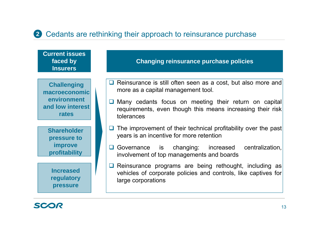## Cedants are rethinking their approach to reinsurance purchase **2**



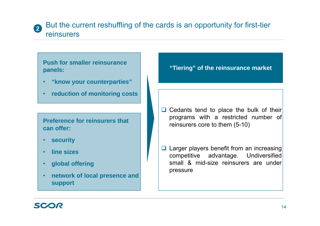#### But the current reshuffling of the cards is an opportunity for first-tier reinsurers**2**

**Push for smaller reinsurance panels:**

- •**"know your counterparties"**
- •**reduction of monitoring costs**

**Preference for reinsurers that can offer:**

- •**security**
- •**line sizes**
- •**global offering**
- • **network of local presence and support**

**"Tiering" of the reinsurance market**

 $\Box$  Cedants tend to place the bulk of their programs with <sup>a</sup> restricted number of reinsurers core to them (5-10)

 $\Box$  Larger players benefit from an increasing competitive advantage. Undiversified small & mid-size reinsurers are underpressure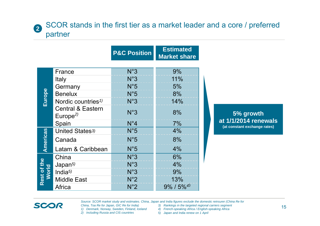### SCOR stands in the first tier as a market leader and a core / preferred partner

|                              |                                                      | <b>P&amp;C Position</b> | <b>Estimated</b><br><b>Market share</b> |             |
|------------------------------|------------------------------------------------------|-------------------------|-----------------------------------------|-------------|
|                              | France                                               | N°3                     | 9%                                      |             |
| Europe                       | Italy                                                | N°3                     | 11%                                     |             |
|                              | Germany                                              | N°5                     | 5%                                      |             |
|                              | <b>Benelux</b>                                       | N°5                     | 8%                                      |             |
|                              | Nordic countries <sup>1)</sup>                       | N°3                     | 14%                                     |             |
|                              | <b>Central &amp; Eastern</b><br>Europe <sup>2)</sup> | N°3                     | 8%                                      |             |
|                              | Spain                                                | $N^{\circ}4$            | 7%                                      | at 1<br>(at |
| Americas                     | United States <sup>3)</sup>                          | $N^{\circ}5$            | 4%                                      |             |
|                              | Canada                                               | N°5                     | 8%                                      |             |
|                              | Latam & Caribbean                                    | N°5                     | 4%                                      |             |
| <b>Rest of the<br/>World</b> | China                                                | N°3                     | 6%                                      |             |
|                              | Japan $5$                                            | N°3                     | 4%                                      |             |
|                              | India $5$                                            | N°3                     | 9%                                      |             |
|                              | <b>Middle East</b>                                   | $N^{\circ}2$            | 13%                                     |             |
|                              | Africa                                               | $N^{\circ}2$            | $9\%$ / $5\%$ <sup>4)</sup>             |             |

**5% growth at 1/1/2014 renewals (at constant exchange rates)**

*Source: SCOR market study and estimates. China, Japan and India figures exclude the domestic reinsurer (China Re for* 

*China, Toa Re for Japan, GIC Re for India)*

- *1) Denmark, Norway, Sweden, Finland, Iceland*
- *2) Including Russia and CIS countries*

**2**

SCOR

- *3) Rankings in the targeted regional carriers segment*
- *4) French-speaking Africa / English-speaking Africa*
- *5) Japan and India renew on 1 April*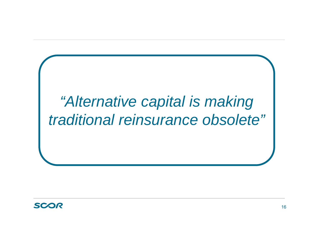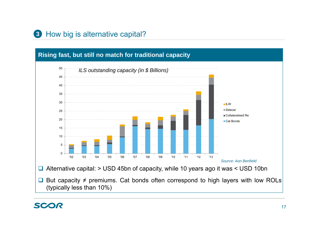## **3** How big is alternative capital?

## **Rising fast, but still no match for traditional capacity**

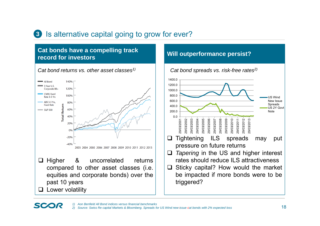## **3** Is alternative capital going to grow for ever?

#### **Cat bonds have a compelling track record for investors**



#### **Will outperformance persist?**

![](_page_17_Figure_4.jpeg)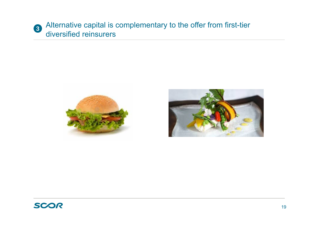![](_page_18_Picture_0.jpeg)

![](_page_18_Picture_1.jpeg)

![](_page_18_Picture_2.jpeg)

![](_page_18_Picture_3.jpeg)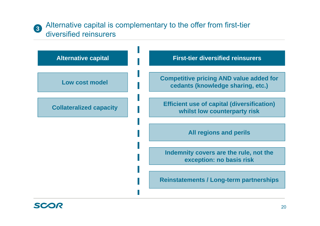![](_page_19_Picture_0.jpeg)

### Alternative capital is complementary to the offer from first-tier diversified reinsurers

![](_page_19_Figure_2.jpeg)